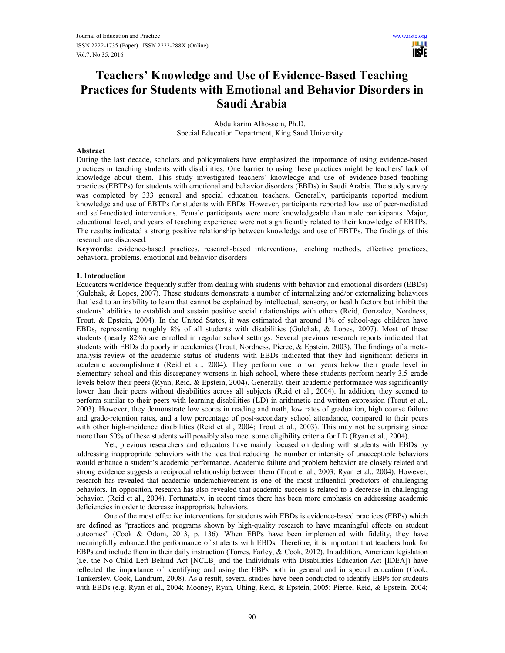ШU **USIE** 

# Teachers' Knowledge and Use of Evidence-Based Teaching Practices for Students with Emotional and Behavior Disorders in Saudi Arabia

Abdulkarim Alhossein, Ph.D. Special Education Department, King Saud University

# Abstract

During the last decade, scholars and policymakers have emphasized the importance of using evidence-based practices in teaching students with disabilities. One barrier to using these practices might be teachers' lack of knowledge about them. This study investigated teachers' knowledge and use of evidence-based teaching practices (EBTPs) for students with emotional and behavior disorders (EBDs) in Saudi Arabia. The study survey was completed by 333 general and special education teachers. Generally, participants reported medium knowledge and use of EBTPs for students with EBDs. However, participants reported low use of peer-mediated and self-mediated interventions. Female participants were more knowledgeable than male participants. Major, educational level, and years of teaching experience were not significantly related to their knowledge of EBTPs. The results indicated a strong positive relationship between knowledge and use of EBTPs. The findings of this research are discussed.

Keywords: evidence-based practices, research-based interventions, teaching methods, effective practices, behavioral problems, emotional and behavior disorders

#### 1. Introduction

Educators worldwide frequently suffer from dealing with students with behavior and emotional disorders (EBDs) (Gulchak, & Lopes, 2007). These students demonstrate a number of internalizing and/or externalizing behaviors that lead to an inability to learn that cannot be explained by intellectual, sensory, or health factors but inhibit the students' abilities to establish and sustain positive social relationships with others (Reid, Gonzalez, Nordness, Trout, & Epstein, 2004). In the United States, it was estimated that around 1% of school-age children have EBDs, representing roughly 8% of all students with disabilities (Gulchak, & Lopes, 2007). Most of these students (nearly 82%) are enrolled in regular school settings. Several previous research reports indicated that students with EBDs do poorly in academics (Trout, Nordness, Pierce, & Epstein, 2003). The findings of a metaanalysis review of the academic status of students with EBDs indicated that they had significant deficits in academic accomplishment (Reid et al., 2004). They perform one to two years below their grade level in elementary school and this discrepancy worsens in high school, where these students perform nearly 3.5 grade levels below their peers (Ryan, Reid, & Epstein, 2004). Generally, their academic performance was significantly lower than their peers without disabilities across all subjects (Reid et al., 2004). In addition, they seemed to perform similar to their peers with learning disabilities (LD) in arithmetic and written expression (Trout et al., 2003). However, they demonstrate low scores in reading and math, low rates of graduation, high course failure and grade-retention rates, and a low percentage of post-secondary school attendance, compared to their peers with other high-incidence disabilities (Reid et al., 2004; Trout et al., 2003). This may not be surprising since more than 50% of these students will possibly also meet some eligibility criteria for LD (Ryan et al., 2004).

Yet, previous researchers and educators have mainly focused on dealing with students with EBDs by addressing inappropriate behaviors with the idea that reducing the number or intensity of unacceptable behaviors would enhance a student's academic performance. Academic failure and problem behavior are closely related and strong evidence suggests a reciprocal relationship between them (Trout et al., 2003; Ryan et al., 2004). However, research has revealed that academic underachievement is one of the most influential predictors of challenging behaviors. In opposition, research has also revealed that academic success is related to a decrease in challenging behavior. (Reid et al., 2004). Fortunately, in recent times there has been more emphasis on addressing academic deficiencies in order to decrease inappropriate behaviors.

One of the most effective interventions for students with EBDs is evidence-based practices (EBPs) which are defined as "practices and programs shown by high-quality research to have meaningful effects on student outcomes" (Cook & Odom, 2013, p. 136). When EBPs have been implemented with fidelity, they have meaningfully enhanced the performance of students with EBDs. Therefore, it is important that teachers look for EBPs and include them in their daily instruction (Torres, Farley, & Cook, 2012). In addition, American legislation (i.e. the No Child Left Behind Act [NCLB] and the Individuals with Disabilities Education Act [IDEA]) have reflected the importance of identifying and using the EBPs both in general and in special education (Cook, Tankersley, Cook, Landrum, 2008). As a result, several studies have been conducted to identify EBPs for students with EBDs (e.g. Ryan et al., 2004; Mooney, Ryan, Uhing, Reid, & Epstein, 2005; Pierce, Reid, & Epstein, 2004;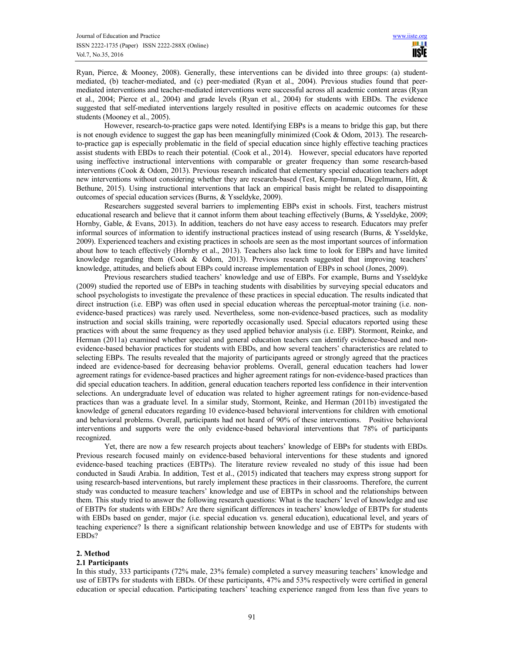Ryan, Pierce, & Mooney, 2008). Generally, these interventions can be divided into three groups: (a) studentmediated, (b) teacher-mediated, and (c) peer-mediated (Ryan et al., 2004). Previous studies found that peermediated interventions and teacher-mediated interventions were successful across all academic content areas (Ryan et al., 2004; Pierce et al., 2004) and grade levels (Ryan et al., 2004) for students with EBDs. The evidence suggested that self-mediated interventions largely resulted in positive effects on academic outcomes for these students (Mooney et al., 2005).

However, research-to-practice gaps were noted. Identifying EBPs is a means to bridge this gap, but there is not enough evidence to suggest the gap has been meaningfully minimized (Cook & Odom, 2013). The researchto-practice gap is especially problematic in the field of special education since highly effective teaching practices assist students with EBDs to reach their potential. (Cook et al., 2014). However, special educators have reported using ineffective instructional interventions with comparable or greater frequency than some research-based interventions (Cook & Odom, 2013). Previous research indicated that elementary special education teachers adopt new interventions without considering whether they are research-based (Test, Kemp-Inman, Diegelmann, Hitt, & Bethune, 2015). Using instructional interventions that lack an empirical basis might be related to disappointing outcomes of special education services (Burns, & Ysseldyke, 2009).

Researchers suggested several barriers to implementing EBPs exist in schools. First, teachers mistrust educational research and believe that it cannot inform them about teaching effectively (Burns, & Ysseldyke, 2009; Hornby, Gable, & Evans, 2013). In addition, teachers do not have easy access to research. Educators may prefer informal sources of information to identify instructional practices instead of using research (Burns, & Ysseldyke, 2009). Experienced teachers and existing practices in schools are seen as the most important sources of information about how to teach effectively (Hornby et al., 2013). Teachers also lack time to look for EBPs and have limited knowledge regarding them (Cook & Odom, 2013). Previous research suggested that improving teachers' knowledge, attitudes, and beliefs about EBPs could increase implementation of EBPs in school (Jones, 2009).

Previous researchers studied teachers' knowledge and use of EBPs. For example, Burns and Ysseldyke (2009) studied the reported use of EBPs in teaching students with disabilities by surveying special educators and school psychologists to investigate the prevalence of these practices in special education. The results indicated that direct instruction (i.e. EBP) was often used in special education whereas the perceptual-motor training (i.e. nonevidence-based practices) was rarely used. Nevertheless, some non-evidence-based practices, such as modality instruction and social skills training, were reportedly occasionally used. Special educators reported using these practices with about the same frequency as they used applied behavior analysis (i.e. EBP). Stormont, Reinke, and Herman (2011a) examined whether special and general education teachers can identify evidence-based and nonevidence-based behavior practices for students with EBDs, and how several teachers' characteristics are related to selecting EBPs. The results revealed that the majority of participants agreed or strongly agreed that the practices indeed are evidence-based for decreasing behavior problems. Overall, general education teachers had lower agreement ratings for evidence-based practices and higher agreement ratings for non-evidence-based practices than did special education teachers. In addition, general education teachers reported less confidence in their intervention selections. An undergraduate level of education was related to higher agreement ratings for non-evidence-based practices than was a graduate level. In a similar study, Stormont, Reinke, and Herman (2011b) investigated the knowledge of general educators regarding 10 evidence-based behavioral interventions for children with emotional and behavioral problems. Overall, participants had not heard of 90% of these interventions. Positive behavioral interventions and supports were the only evidence-based behavioral interventions that 78% of participants recognized.

Yet, there are now a few research projects about teachers' knowledge of EBPs for students with EBDs. Previous research focused mainly on evidence-based behavioral interventions for these students and ignored evidence-based teaching practices (EBTPs). The literature review revealed no study of this issue had been conducted in Saudi Arabia. In addition, Test et al., (2015) indicated that teachers may express strong support for using research-based interventions, but rarely implement these practices in their classrooms. Therefore, the current study was conducted to measure teachers' knowledge and use of EBTPs in school and the relationships between them. This study tried to answer the following research questions: What is the teachers' level of knowledge and use of EBTPs for students with EBDs? Are there significant differences in teachers' knowledge of EBTPs for students with EBDs based on gender, major (i.e. special education vs. general education), educational level, and years of teaching experience? Is there a significant relationship between knowledge and use of EBTPs for students with EBDs?

#### 2. Method

# 2.1 Participants

In this study, 333 participants (72% male, 23% female) completed a survey measuring teachers' knowledge and use of EBTPs for students with EBDs. Of these participants, 47% and 53% respectively were certified in general education or special education. Participating teachers' teaching experience ranged from less than five years to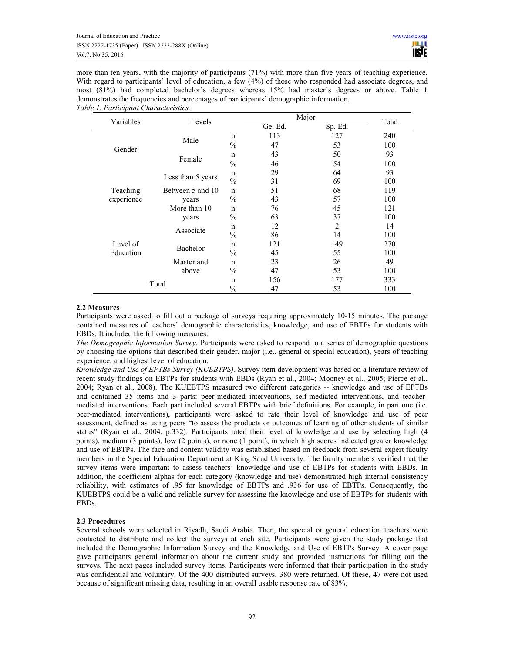more than ten years, with the majority of participants (71%) with more than five years of teaching experience. With regard to participants' level of education, a few (4%) of those who responded had associate degrees, and most (81%) had completed bachelor's degrees whereas 15% had master's degrees or above. Table 1 demonstrates the frequencies and percentages of participants' demographic information. Table 1. Participant Characteristics.

| Variables  | Levels            |               |         | Major   | Total |
|------------|-------------------|---------------|---------|---------|-------|
|            |                   |               | Ge. Ed. | Sp. Ed. |       |
|            |                   | $\mathbf n$   | 113     | 127     | 240   |
|            | Male              | $\frac{0}{0}$ | 47      | 53      | 100   |
| Gender     |                   | n             | 43      | 50      | 93    |
|            | Female            | $\frac{0}{0}$ | 46      | 54      | 100   |
|            |                   | n             | 29      | 64      | 93    |
|            | Less than 5 years | $\frac{0}{0}$ | 31      | 69      | 100   |
| Teaching   | Between 5 and 10  | $\mathbf n$   | 51      | 68      | 119   |
| experience | years             | $\%$          | 43      | 57      | 100   |
|            | More than 10      | $\mathsf{n}$  | 76      | 45      | 121   |
|            | years             | $\%$          | 63      | 37      | 100   |
|            |                   | n             | 12      | 2       | 14    |
|            | Associate         | $\frac{0}{0}$ | 86      | 14      | 100   |
| Level of   | Bachelor          | $\mathsf{n}$  | 121     | 149     | 270   |
| Education  |                   | $\frac{0}{0}$ | 45      | 55      | 100   |
|            | Master and        | $\mathbf n$   | 23      | 26      | 49    |
|            | above             | $\frac{0}{0}$ | 47      | 53      | 100   |
|            |                   | n             | 156     | 177     | 333   |
|            | Total             | $\frac{0}{0}$ | 47      | 53      | 100   |

# 2.2 Measures

Participants were asked to fill out a package of surveys requiring approximately 10-15 minutes. The package contained measures of teachers' demographic characteristics, knowledge, and use of EBTPs for students with EBDs. It included the following measures:

The Demographic Information Survey. Participants were asked to respond to a series of demographic questions by choosing the options that described their gender, major (i.e., general or special education), years of teaching experience, and highest level of education.

Knowledge and Use of EPTBs Survey (KUEBTPS). Survey item development was based on a literature review of recent study findings on EBTPs for students with EBDs (Ryan et al., 2004; Mooney et al., 2005; Pierce et al., 2004; Ryan et al., 2008). The KUEBTPS measured two different categories -- knowledge and use of EPTBs and contained 35 items and 3 parts: peer-mediated interventions, self-mediated interventions, and teachermediated interventions. Each part included several EBTPs with brief definitions. For example, in part one (i.e. peer-mediated interventions), participants were asked to rate their level of knowledge and use of peer assessment, defined as using peers "to assess the products or outcomes of learning of other students of similar status" (Ryan et al., 2004, p.332). Participants rated their level of knowledge and use by selecting high (4 points), medium (3 points), low (2 points), or none (1 point), in which high scores indicated greater knowledge and use of EBTPs. The face and content validity was established based on feedback from several expert faculty members in the Special Education Department at King Saud University. The faculty members verified that the survey items were important to assess teachers' knowledge and use of EBTPs for students with EBDs. In addition, the coefficient alphas for each category (knowledge and use) demonstrated high internal consistency reliability, with estimates of .95 for knowledge of EBTPs and .936 for use of EBTPs. Consequently, the KUEBTPS could be a valid and reliable survey for assessing the knowledge and use of EBTPs for students with EBDs.

# 2.3 Procedures

Several schools were selected in Riyadh, Saudi Arabia. Then, the special or general education teachers were contacted to distribute and collect the surveys at each site. Participants were given the study package that included the Demographic Information Survey and the Knowledge and Use of EBTPs Survey. A cover page gave participants general information about the current study and provided instructions for filling out the surveys. The next pages included survey items. Participants were informed that their participation in the study was confidential and voluntary. Of the 400 distributed surveys, 380 were returned. Of these, 47 were not used because of significant missing data, resulting in an overall usable response rate of 83%.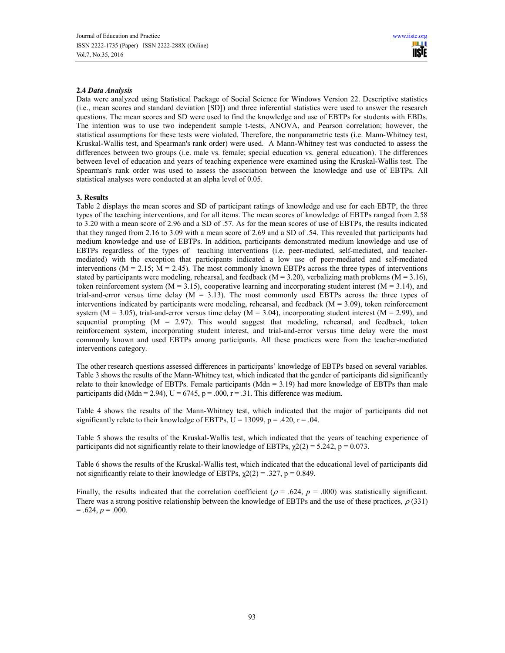# 2.4 Data Analysis

Data were analyzed using Statistical Package of Social Science for Windows Version 22. Descriptive statistics (i.e., mean scores and standard deviation [SD]) and three inferential statistics were used to answer the research questions. The mean scores and SD were used to find the knowledge and use of EBTPs for students with EBDs. The intention was to use two independent sample t-tests, ANOVA, and Pearson correlation; however, the statistical assumptions for these tests were violated. Therefore, the nonparametric tests (i.e. Mann-Whitney test, Kruskal-Wallis test, and Spearman's rank order) were used. A Mann-Whitney test was conducted to assess the differences between two groups (i.e. male vs. female; special education vs. general education). The differences between level of education and years of teaching experience were examined using the Kruskal-Wallis test. The Spearman's rank order was used to assess the association between the knowledge and use of EBTPs. All statistical analyses were conducted at an alpha level of 0.05.

# 3. Results

Table 2 displays the mean scores and SD of participant ratings of knowledge and use for each EBTP, the three types of the teaching interventions, and for all items. The mean scores of knowledge of EBTPs ranged from 2.58 to 3.20 with a mean score of 2.96 and a SD of .57. As for the mean scores of use of EBTPs, the results indicated that they ranged from 2.16 to 3.09 with a mean score of 2.69 and a SD of .54. This revealed that participants had medium knowledge and use of EBTPs. In addition, participants demonstrated medium knowledge and use of EBTPs regardless of the types of teaching interventions (i.e. peer-mediated, self-mediated, and teachermediated) with the exception that participants indicated a low use of peer-mediated and self-mediated interventions ( $M = 2.15$ ;  $\overline{M} = 2.45$ ). The most commonly known EBTPs across the three types of interventions stated by participants were modeling, rehearsal, and feedback ( $M = 3.20$ ), verbalizing math problems ( $M = 3.16$ ), token reinforcement system ( $M = 3.15$ ), cooperative learning and incorporating student interest ( $M = 3.14$ ), and trial-and-error versus time delay  $(M = 3.13)$ . The most commonly used EBTPs across the three types of interventions indicated by participants were modeling, rehearsal, and feedback ( $M = 3.09$ ), token reinforcement system ( $M = 3.05$ ), trial-and-error versus time delay ( $M = 3.04$ ), incorporating student interest ( $M = 2.99$ ), and sequential prompting  $(M = 2.97)$ . This would suggest that modeling, rehearsal, and feedback, token reinforcement system, incorporating student interest, and trial-and-error versus time delay were the most commonly known and used EBTPs among participants. All these practices were from the teacher-mediated interventions category.

The other research questions assessed differences in participants' knowledge of EBTPs based on several variables. Table 3 shows the results of the Mann-Whitney test, which indicated that the gender of participants did significantly relate to their knowledge of EBTPs. Female participants ( $Mdn = 3.19$ ) had more knowledge of EBTPs than male participants did (Mdn = 2.94),  $U = 6745$ ,  $p = .000$ ,  $r = .31$ . This difference was medium.

Table 4 shows the results of the Mann-Whitney test, which indicated that the major of participants did not significantly relate to their knowledge of EBTPs,  $U = 13099$ ,  $p = .420$ ,  $r = .04$ .

Table 5 shows the results of the Kruskal-Wallis test, which indicated that the years of teaching experience of participants did not significantly relate to their knowledge of EBTPs,  $\gamma$ 2(2) = 5.242, p = 0.073.

Table 6 shows the results of the Kruskal-Wallis test, which indicated that the educational level of participants did not significantly relate to their knowledge of EBTPs,  $\chi$ 2(2) = .327, p = 0.849.

Finally, the results indicated that the correlation coefficient ( $\rho = .624$ ,  $p = .000$ ) was statistically significant. There was a strong positive relationship between the knowledge of EBTPs and the use of these practices,  $\rho$  (331)  $= .624, p = .000.$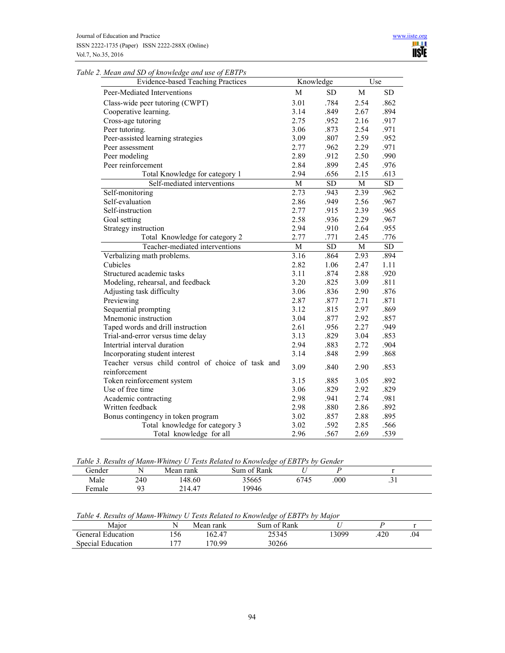| Table 2. Mean and SD of knowledge and use of EBTPs |  |  |
|----------------------------------------------------|--|--|
|                                                    |  |  |

| <b>Evidence-based Teaching Practices</b>           | Knowledge |                 |      | Use             |
|----------------------------------------------------|-----------|-----------------|------|-----------------|
| Peer-Mediated Interventions                        | M         | <b>SD</b>       | M    | <b>SD</b>       |
| Class-wide peer tutoring (CWPT)                    | 3.01      | .784            | 2.54 | .862            |
| Cooperative learning.                              | 3.14      | .849            | 2.67 | .894            |
| Cross-age tutoring                                 | 2.75      | .952            | 2.16 | .917            |
| Peer tutoring.                                     | 3.06      | .873            | 2.54 | .971            |
| Peer-assisted learning strategies                  | 3.09      | .807            | 2.59 | .952            |
| Peer assessment                                    | 2.77      | .962            | 2.29 | .971            |
| Peer modeling                                      | 2.89      | .912            | 2.50 | .990            |
| Peer reinforcement                                 | 2.84      | .899            | 2.45 | .976            |
| Total Knowledge for category 1                     | 2.94      | .656            | 2.15 | .613            |
| Self-mediated interventions                        | M         | ${\rm SD}$      | M    | ${\rm SD}$      |
| Self-monitoring                                    | 2.73      | .943            | 2.39 | .962            |
| Self-evaluation                                    | 2.86      | .949            | 2.56 | .967            |
| Self-instruction                                   | 2.77      | .915            | 2.39 | .965            |
| Goal setting                                       | 2.58      | .936            | 2.29 | .967            |
| Strategy instruction                               | 2.94      | .910            | 2.64 | .955            |
| Total Knowledge for category 2                     | 2.77      | .771            | 2.45 | .776            |
| Teacher-mediated interventions                     | M         | $\overline{SD}$ | M    | $\overline{SD}$ |
| Verbalizing math problems.                         | 3.16      | .864            | 2.93 | .894            |
| Cubicles                                           | 2.82      | 1.06            | 2.47 | 1.11            |
| Structured academic tasks                          | 3.11      | .874            | 2.88 | .920            |
| Modeling, rehearsal, and feedback                  | 3.20      | .825            | 3.09 | .811            |
| Adjusting task difficulty                          | 3.06      | .836            | 2.90 | .876            |
| Previewing                                         | 2.87      | .877            | 2.71 | .871            |
| Sequential prompting                               | 3.12      | .815            | 2.97 | .869            |
| Mnemonic instruction                               | 3.04      | .877            | 2.92 | .857            |
| Taped words and drill instruction                  | 2.61      | .956            | 2.27 | .949            |
| Trial-and-error versus time delay                  | 3.13      | .829            | 3.04 | .853            |
| Intertrial interval duration                       | 2.94      | .883            | 2.72 | .904            |
| Incorporating student interest                     | 3.14      | .848            | 2.99 | .868            |
| Teacher versus child control of choice of task and | 3.09      | .840            | 2.90 | .853            |
| reinforcement                                      |           |                 |      |                 |
| Token reinforcement system                         | 3.15      | .885            | 3.05 | .892            |
| Use of free time                                   | 3.06      | .829            | 2.92 | .829            |
| Academic contracting                               | 2.98      | .941            | 2.74 | .981            |
| Written feedback                                   | 2.98      | .880            | 2.86 | .892            |
| Bonus contingency in token program                 | 3.02      | .857            | 2.88 | .895            |
| Total knowledge for category 3                     | 3.02      | .592            | 2.85 | .566            |
| Total knowledge for all                            | 2.96      | .567            | 2.69 | .539            |

|  |  |  | Table 3. Results of Mann-Whitney U Tests Related to Knowledge of EBTPs by Gender |
|--|--|--|----------------------------------------------------------------------------------|
|  |  |  |                                                                                  |

| Gender      | N   | Mean rank | Sum of Rank |      |      |             |
|-------------|-----|-----------|-------------|------|------|-------------|
| Male        | 240 | 148.60    | 35665       | 6745 | .000 | $\sim$<br>. |
| -<br>Female | 02  | 214.47    | 19946       |      |      |             |
|             |     |           |             |      |      |             |

Table 4. Results of Mann-Whitney U Tests Related to Knowledge of EBTPs by Major

| .                           | .<br>. | .<br>.    | .           | .     |     |     |
|-----------------------------|--------|-----------|-------------|-------|-----|-----|
| Maior                       |        | Mean rank | Sum of Rank |       |     |     |
| <b>Teneral</b><br>Education | 156    | 162.47    | 25345       | 13099 | 420 | .04 |
| Special Education           |        | 70.99     | 30266       |       |     |     |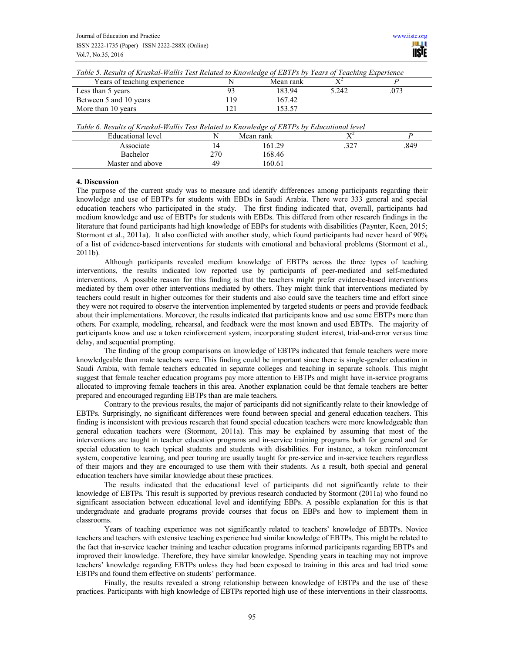| Years of teaching experience                                                                                    |     | Mean rank | $\mathbf{Y}^{\mathcal{L}}$ |      |
|-----------------------------------------------------------------------------------------------------------------|-----|-----------|----------------------------|------|
| Less than 5 years                                                                                               | 93  | 183.94    | 5.242                      | .073 |
| Between 5 and 10 years                                                                                          | 119 | 167.42    |                            |      |
| More than 10 years                                                                                              | 121 | 153.57    |                            |      |
|                                                                                                                 |     |           |                            |      |
| Table 6. Results of Kruskal-Wallis Test Related to Knowledge of EBTPs by Educational level<br>Educational level | N   | Mean rank | $X^2$                      | P    |
| Associate                                                                                                       | 14  | 161.29    | .327                       | .849 |
| Bachelor                                                                                                        | 270 | 168.46    |                            |      |

 $T_{\text{ref}}$   $W_{\text{eff}}$   $T_{\text{ref}}$   $P_{\text{ref}}$   $P_{\text{ref}}$  and to  $V_{\text{ref}}$  and  $T_{\text{ref}}$   $T_{\text{ref}}$   $T_{\text{ref}}$ 

# 4. Discussion

The purpose of the current study was to measure and identify differences among participants regarding their knowledge and use of EBTPs for students with EBDs in Saudi Arabia. There were 333 general and special education teachers who participated in the study. The first finding indicated that, overall, participants had medium knowledge and use of EBTPs for students with EBDs. This differed from other research findings in the literature that found participants had high knowledge of EBPs for students with disabilities (Paynter, Keen, 2015; Stormont et al., 2011a). It also conflicted with another study, which found participants had never heard of 90% of a list of evidence-based interventions for students with emotional and behavioral problems (Stormont et al., 2011b).

Although participants revealed medium knowledge of EBTPs across the three types of teaching interventions, the results indicated low reported use by participants of peer-mediated and self-mediated interventions. A possible reason for this finding is that the teachers might prefer evidence-based interventions mediated by them over other interventions mediated by others. They might think that interventions mediated by teachers could result in higher outcomes for their students and also could save the teachers time and effort since they were not required to observe the intervention implemented by targeted students or peers and provide feedback about their implementations. Moreover, the results indicated that participants know and use some EBTPs more than others. For example, modeling, rehearsal, and feedback were the most known and used EBTPs. The majority of participants know and use a token reinforcement system, incorporating student interest, trial-and-error versus time delay, and sequential prompting.

The finding of the group comparisons on knowledge of EBTPs indicated that female teachers were more knowledgeable than male teachers were. This finding could be important since there is single-gender education in Saudi Arabia, with female teachers educated in separate colleges and teaching in separate schools. This might suggest that female teacher education programs pay more attention to EBTPs and might have in-service programs allocated to improving female teachers in this area. Another explanation could be that female teachers are better prepared and encouraged regarding EBTPs than are male teachers.

Contrary to the previous results, the major of participants did not significantly relate to their knowledge of EBTPs. Surprisingly, no significant differences were found between special and general education teachers. This finding is inconsistent with previous research that found special education teachers were more knowledgeable than general education teachers were (Stormont, 2011a). This may be explained by assuming that most of the interventions are taught in teacher education programs and in-service training programs both for general and for special education to teach typical students and students with disabilities. For instance, a token reinforcement system, cooperative learning, and peer touring are usually taught for pre-service and in-service teachers regardless of their majors and they are encouraged to use them with their students. As a result, both special and general education teachers have similar knowledge about these practices.

The results indicated that the educational level of participants did not significantly relate to their knowledge of EBTPs. This result is supported by previous research conducted by Stormont (2011a) who found no significant association between educational level and identifying EBPs. A possible explanation for this is that undergraduate and graduate programs provide courses that focus on EBPs and how to implement them in classrooms.

Years of teaching experience was not significantly related to teachers' knowledge of EBTPs. Novice teachers and teachers with extensive teaching experience had similar knowledge of EBTPs. This might be related to the fact that in-service teacher training and teacher education programs informed participants regarding EBTPs and improved their knowledge. Therefore, they have similar knowledge. Spending years in teaching may not improve teachers' knowledge regarding EBTPs unless they had been exposed to training in this area and had tried some EBTPs and found them effective on students' performance.

Finally, the results revealed a strong relationship between knowledge of EBTPs and the use of these practices. Participants with high knowledge of EBTPs reported high use of these interventions in their classrooms.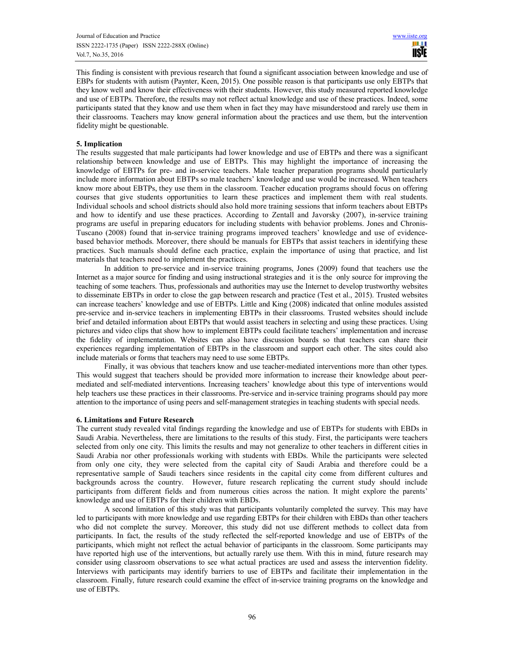This finding is consistent with previous research that found a significant association between knowledge and use of EBPs for students with autism (Paynter, Keen, 2015). One possible reason is that participants use only EBTPs that they know well and know their effectiveness with their students. However, this study measured reported knowledge and use of EBTPs. Therefore, the results may not reflect actual knowledge and use of these practices. Indeed, some participants stated that they know and use them when in fact they may have misunderstood and rarely use them in their classrooms. Teachers may know general information about the practices and use them, but the intervention fidelity might be questionable.

# 5. Implication

The results suggested that male participants had lower knowledge and use of EBTPs and there was a significant relationship between knowledge and use of EBTPs. This may highlight the importance of increasing the knowledge of EBTPs for pre- and in-service teachers. Male teacher preparation programs should particularly include more information about EBTPs so male teachers' knowledge and use would be increased. When teachers know more about EBTPs, they use them in the classroom. Teacher education programs should focus on offering courses that give students opportunities to learn these practices and implement them with real students. Individual schools and school districts should also hold more training sessions that inform teachers about EBTPs and how to identify and use these practices. According to Zentall and Javorsky (2007), in-service training programs are useful in preparing educators for including students with behavior problems. Jones and Chronis-Tuscano (2008) found that in-service training programs improved teachers' knowledge and use of evidencebased behavior methods. Moreover, there should be manuals for EBTPs that assist teachers in identifying these practices. Such manuals should define each practice, explain the importance of using that practice, and list materials that teachers need to implement the practices.

In addition to pre-service and in-service training programs, Jones (2009) found that teachers use the Internet as a major source for finding and using instructional strategies and it is the only source for improving the teaching of some teachers. Thus, professionals and authorities may use the Internet to develop trustworthy websites to disseminate EBTPs in order to close the gap between research and practice (Test et al., 2015). Trusted websites can increase teachers' knowledge and use of EBTPs. Little and King (2008) indicated that online modules assisted pre-service and in-service teachers in implementing EBTPs in their classrooms. Trusted websites should include brief and detailed information about EBTPs that would assist teachers in selecting and using these practices. Using pictures and video clips that show how to implement EBTPs could facilitate teachers' implementation and increase the fidelity of implementation. Websites can also have discussion boards so that teachers can share their experiences regarding implementation of EBTPs in the classroom and support each other. The sites could also include materials or forms that teachers may need to use some EBTPs.

Finally, it was obvious that teachers know and use teacher-mediated interventions more than other types. This would suggest that teachers should be provided more information to increase their knowledge about peermediated and self-mediated interventions. Increasing teachers' knowledge about this type of interventions would help teachers use these practices in their classrooms. Pre-service and in-service training programs should pay more attention to the importance of using peers and self-management strategies in teaching students with special needs.

#### 6. Limitations and Future Research

The current study revealed vital findings regarding the knowledge and use of EBTPs for students with EBDs in Saudi Arabia. Nevertheless, there are limitations to the results of this study. First, the participants were teachers selected from only one city. This limits the results and may not generalize to other teachers in different cities in Saudi Arabia nor other professionals working with students with EBDs. While the participants were selected from only one city, they were selected from the capital city of Saudi Arabia and therefore could be a representative sample of Saudi teachers since residents in the capital city come from different cultures and backgrounds across the country. However, future research replicating the current study should include participants from different fields and from numerous cities across the nation. It might explore the parents' knowledge and use of EBTPs for their children with EBDs.

A second limitation of this study was that participants voluntarily completed the survey. This may have led to participants with more knowledge and use regarding EBTPs for their children with EBDs than other teachers who did not complete the survey. Moreover, this study did not use different methods to collect data from participants. In fact, the results of the study reflected the self-reported knowledge and use of EBTPs of the participants, which might not reflect the actual behavior of participants in the classroom. Some participants may have reported high use of the interventions, but actually rarely use them. With this in mind, future research may consider using classroom observations to see what actual practices are used and assess the intervention fidelity. Interviews with participants may identify barriers to use of EBTPs and facilitate their implementation in the classroom. Finally, future research could examine the effect of in-service training programs on the knowledge and use of EBTPs.